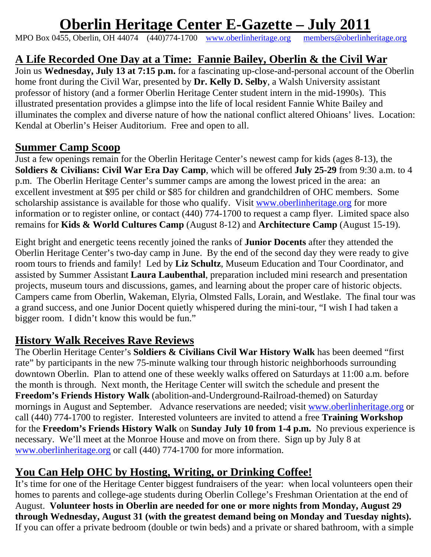# **Oberlin Heritage Center E-Gazette – July 2011**

MPO Box 0455, Oberlin, OH 44074 (440)774-1700 www.oberlinheritage.org members@oberlinheritage.org

# **A Life Recorded One Day at a Time: Fannie Bailey, Oberlin & the Civil War**

Join us **Wednesday, July 13 at 7:15 p.m.** for a fascinating up-close-and-personal account of the Oberlin home front during the Civil War, presented by **Dr. Kelly D. Selby**, a Walsh University assistant professor of history (and a former Oberlin Heritage Center student intern in the mid-1990s). This illustrated presentation provides a glimpse into the life of local resident Fannie White Bailey and illuminates the complex and diverse nature of how the national conflict altered Ohioans' lives. Location: Kendal at Oberlin's Heiser Auditorium. Free and open to all.

# **Summer Camp Scoop**

Just a few openings remain for the Oberlin Heritage Center's newest camp for kids (ages 8-13), the **Soldiers & Civilians: Civil War Era Day Camp**, which will be offered **July 25-29** from 9:30 a.m. to 4 p.m. The Oberlin Heritage Center's summer camps are among the lowest priced in the area: an excellent investment at \$95 per child or \$85 for children and grandchildren of OHC members. Some scholarship assistance is available for those who qualify. Visit www.oberlinheritage.org for more information or to register online, or contact (440) 774-1700 to request a camp flyer. Limited space also remains for **Kids & World Cultures Camp** (August 8-12) and **Architecture Camp** (August 15-19).

Eight bright and energetic teens recently joined the ranks of **Junior Docents** after they attended the Oberlin Heritage Center's two-day camp in June. By the end of the second day they were ready to give room tours to friends and family! Led by **Liz Schultz**, Museum Education and Tour Coordinator, and assisted by Summer Assistant **Laura Laubenthal**, preparation included mini research and presentation projects, museum tours and discussions, games, and learning about the proper care of historic objects. Campers came from Oberlin, Wakeman, Elyria, Olmsted Falls, Lorain, and Westlake. The final tour was a grand success, and one Junior Docent quietly whispered during the mini-tour, "I wish I had taken a bigger room. I didn't know this would be fun."

# **History Walk Receives Rave Reviews**

The Oberlin Heritage Center's **Soldiers & Civilians Civil War History Walk** has been deemed "first rate" by participants in the new 75-minute walking tour through historic neighborhoods surrounding downtown Oberlin. Plan to attend one of these weekly walks offered on Saturdays at 11:00 a.m. before the month is through. Next month, the Heritage Center will switch the schedule and present the **Freedom's Friends History Walk** (abolition-and-Underground-Railroad-themed) on Saturday mornings in August and September. Advance reservations are needed; visit www.oberlinheritage.org or call (440) 774-1700 to register. Interested volunteers are invited to attend a free **Training Workshop**  for the **Freedom's Friends History Walk** on **Sunday July 10 from 1-4 p.m.** No previous experience is necessary. We'll meet at the Monroe House and move on from there. Sign up by July 8 at www.oberlinheritage.org or call (440) 774-1700 for more information.

# **You Can Help OHC by Hosting, Writing, or Drinking Coffee!**

It's time for one of the Heritage Center biggest fundraisers of the year: when local volunteers open their homes to parents and college-age students during Oberlin College's Freshman Orientation at the end of August. **Volunteer hosts in Oberlin are needed for one or more nights from Monday, August 29 through Wednesday, August 31 (with the greatest demand being on Monday and Tuesday nights).** If you can offer a private bedroom (double or twin beds) and a private or shared bathroom, with a simple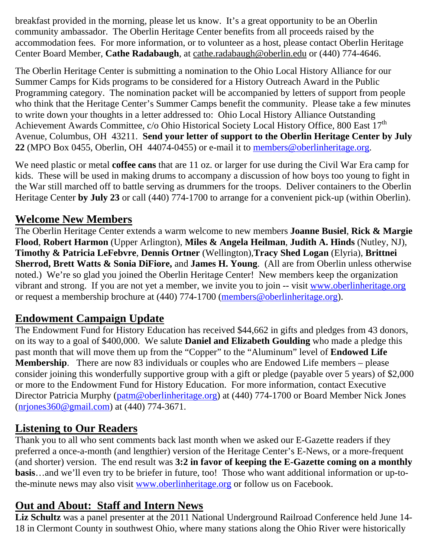breakfast provided in the morning, please let us know. It's a great opportunity to be an Oberlin community ambassador. The Oberlin Heritage Center benefits from all proceeds raised by the accommodation fees. For more information, or to volunteer as a host, please contact Oberlin Heritage Center Board Member, **Cathe Radabaugh**, at cathe.radabaugh@oberlin.edu or (440) 774-4646.

The Oberlin Heritage Center is submitting a nomination to the Ohio Local History Alliance for our Summer Camps for Kids programs to be considered for a History Outreach Award in the Public Programming category. The nomination packet will be accompanied by letters of support from people who think that the Heritage Center's Summer Camps benefit the community. Please take a few minutes to write down your thoughts in a letter addressed to: Ohio Local History Alliance Outstanding Achievement Awards Committee, c/o Ohio Historical Society Local History Office, 800 East 17<sup>th</sup> Avenue, Columbus, OH 43211. **Send your letter of support to the Oberlin Heritage Center by July 22** (MPO Box 0455, Oberlin, OH 44074-0455) or e-mail it to members@oberlinheritage.org.

We need plastic or metal **coffee cans** that are 11 oz. or larger for use during the Civil War Era camp for kids. These will be used in making drums to accompany a discussion of how boys too young to fight in the War still marched off to battle serving as drummers for the troops. Deliver containers to the Oberlin Heritage Center **by July 23** or call (440) 774-1700 to arrange for a convenient pick-up (within Oberlin).

#### **Welcome New Members**

The Oberlin Heritage Center extends a warm welcome to new members **Joanne Busiel**, **Rick & Margie Flood**, **Robert Harmon** (Upper Arlington), **Miles & Angela Heilman**, **Judith A. Hinds** (Nutley, NJ), **Timothy & Patricia LeFebvre**, **Dennis Ortner** (Wellington),**Tracy Shed Logan** (Elyria), **Brittnei Sherrod, Brett Watts & Sonia DiFiore,** and **James H. Young**. (All are from Oberlin unless otherwise noted.)We're so glad you joined the Oberlin Heritage Center! New members keep the organization vibrant and strong. If you are not yet a member, we invite you to join -- visit www.oberlinheritage.org or request a membership brochure at (440) 774-1700 (members@oberlinheritage.org).

# **Endowment Campaign Update**

The Endowment Fund for History Education has received \$44,662 in gifts and pledges from 43 donors, on its way to a goal of \$400,000. We salute **Daniel and Elizabeth Goulding** who made a pledge this past month that will move them up from the "Copper" to the "Aluminum" level of **Endowed Life Membership**. There are now 83 individuals or couples who are Endowed Life members – please consider joining this wonderfully supportive group with a gift or pledge (payable over 5 years) of \$2,000 or more to the Endowment Fund for History Education. For more information, contact Executive Director Patricia Murphy (patm@oberlinheritage.org) at (440) 774-1700 or Board Member Nick Jones (nrjones360@gmail.com) at (440) 774-3671.

#### **Listening to Our Readers**

Thank you to all who sent comments back last month when we asked our E-Gazette readers if they preferred a once-a-month (and lengthier) version of the Heritage Center's E-News, or a more-frequent (and shorter) version. The end result was **3:2 in favor of keeping the E-Gazette coming on a monthly basis**…and we'll even try to be briefer in future, too! Those who want additional information or up-tothe-minute news may also visit www.oberlinheritage.org or follow us on Facebook.

# **Out and About: Staff and Intern News**

**Liz Schultz** was a panel presenter at the 2011 National Underground Railroad Conference held June 14- 18 in Clermont County in southwest Ohio, where many stations along the Ohio River were historically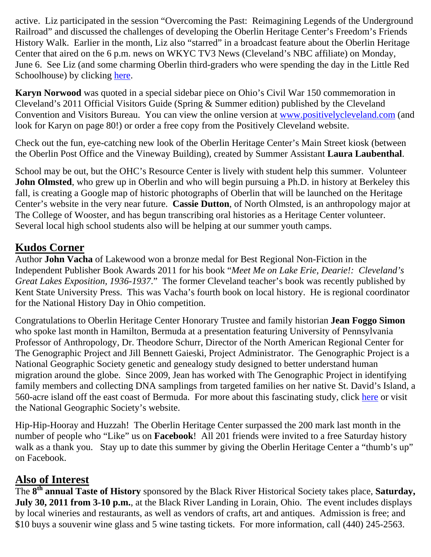active. Liz participated in the session "Overcoming the Past: Reimagining Legends of the Underground Railroad" and discussed the challenges of developing the Oberlin Heritage Center's Freedom's Friends History Walk. Earlier in the month, Liz also "starred" in a broadcast feature about the Oberlin Heritage Center that aired on the 6 p.m. news on WKYC TV3 News (Cleveland's NBC affiliate) on Monday, June 6. See Liz (and some charming Oberlin third-graders who were spending the day in the Little Red Schoolhouse) by clicking here.

**Karyn Norwood** was quoted in a special sidebar piece on Ohio's Civil War 150 commemoration in Cleveland's 2011 Official Visitors Guide (Spring & Summer edition) published by the Cleveland Convention and Visitors Bureau. You can view the online version at www.positivelycleveland.com (and look for Karyn on page 80!) or order a free copy from the Positively Cleveland website.

Check out the fun, eye-catching new look of the Oberlin Heritage Center's Main Street kiosk (between the Oberlin Post Office and the Vineway Building), created by Summer Assistant **Laura Laubenthal**.

School may be out, but the OHC's Resource Center is lively with student help this summer. Volunteer **John Olmsted**, who grew up in Oberlin and who will begin pursuing a Ph.D. in history at Berkeley this fall, is creating a Google map of historic photographs of Oberlin that will be launched on the Heritage Center's website in the very near future. **Cassie Dutton**, of North Olmsted, is an anthropology major at The College of Wooster, and has begun transcribing oral histories as a Heritage Center volunteer. Several local high school students also will be helping at our summer youth camps.

#### **Kudos Corner**

Author **John Vacha** of Lakewood won a bronze medal for Best Regional Non-Fiction in the Independent Publisher Book Awards 2011 for his book "*Meet Me on Lake Erie, Dearie!: Cleveland's Great Lakes Exposition, 1936-1937*." The former Cleveland teacher's book was recently published by Kent State University Press. This was Vacha's fourth book on local history. He is regional coordinator for the National History Day in Ohio competition.

Congratulations to Oberlin Heritage Center Honorary Trustee and family historian **Jean Foggo Simon** who spoke last month in Hamilton, Bermuda at a presentation featuring University of Pennsylvania Professor of Anthropology, Dr. Theodore Schurr, Director of the North American Regional Center for The Genographic Project and Jill Bennett Gaieski, Project Administrator. The Genographic Project is a National Geographic Society genetic and genealogy study designed to better understand human migration around the globe. Since 2009, Jean has worked with The Genographic Project in identifying family members and collecting DNA samplings from targeted families on her native St. David's Island, a 560-acre island off the east coast of Bermuda. For more about this fascinating study, click here or visit the National Geographic Society's website.

Hip-Hip-Hooray and Huzzah! The Oberlin Heritage Center surpassed the 200 mark last month in the number of people who "Like" us on **Facebook**! All 201 friends were invited to a free Saturday history walk as a thank you. Stay up to date this summer by giving the Oberlin Heritage Center a "thumb's up" on Facebook.

#### **Also of Interest**

The **8th annual Taste of History** sponsored by the Black River Historical Society takes place, **Saturday, July 30, 2011 from 3-10 p.m.**, at the Black River Landing in Lorain, Ohio. The event includes displays by local wineries and restaurants, as well as vendors of crafts, art and antiques. Admission is free; and \$10 buys a souvenir wine glass and 5 wine tasting tickets. For more information, call (440) 245-2563.